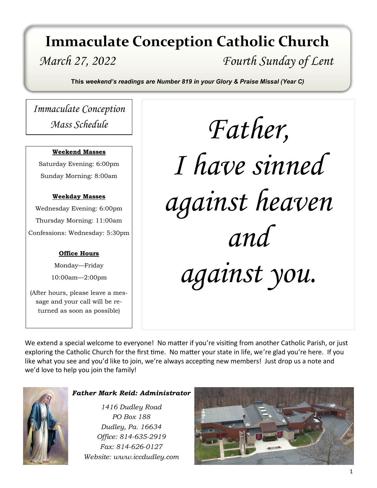## *March 27, 2022 Fourth Sunday of Lent* **Immaculate Conception Catholic Church**

**This** *weekend's readings are Number 819 in your Glory & Praise Missal (Year C)*

*Immaculate Conception Mass Schedule*

#### **Weekend Masses**

Saturday Evening: 6:00pm Sunday Morning: 8:00am

#### **Weekday Masses**

Wednesday Evening: 6:00pm Thursday Morning: 11:00am Confessions: Wednesday: 5:30pm

#### **Office Hours**

Monday—Friday 10:00am—2:00pm

(After hours, please leave a message and your call will be returned as soon as possible)

*Father, I have sinned against heaven and against you.*

We extend a special welcome to everyone! No matter if you're visiting from another Catholic Parish, or just exploring the Catholic Church for the first time. No matter your state in life, we're glad you're here. If you like what you see and you'd like to join, we're always accepting new members! Just drop us a note and we'd love to help you join the family!



#### *Father Mark Reid: Administrator*

*1416 Dudley Road PO Box 188 Dudley, Pa. 16634 Office: 814-635-2919 Fax: 814-626-0127 Website: www.iccdudley.com*

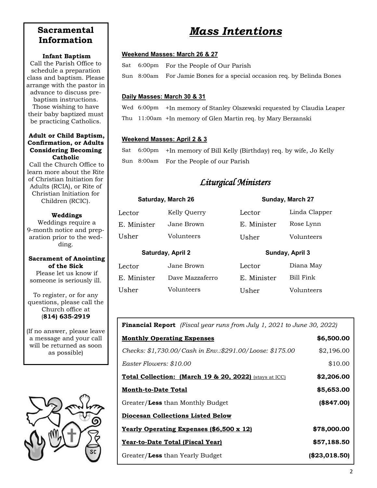### **Sacramental Information**

#### **Infant Baptism**

Call the Parish Office to schedule a preparation class and baptism. Please arrange with the pastor in advance to discuss prebaptism instructions. Those wishing to have their baby baptized must be practicing Catholics.

#### **Adult or Child Baptism, Confirmation, or Adults Considering Becoming Catholic**

Call the Church Office to learn more about the Rite of Christian Initiation for Adults (RCIA), or Rite of Christian Initiation for Children (RCIC).

#### **Weddings**

Weddings require a 9-month notice and preparation prior to the wedding.

#### **Sacrament of Anointing of the Sick**

Please let us know if someone is seriously ill.

To register, or for any questions, please call the Church office at (**814) 635-2919**

(If no answer, please leave a message and your call will be returned as soon as possible)



### *Mass Intentions*

#### **Weekend Masses: March 26 & 27**

Sat 6:00pm For the People of Our Parish

Sun 8:00am For Jamie Bones for a special occasion req. by Belinda Bones

#### **Daily Masses: March 30 & 31**

Wed 6:00pm +In memory of Stanley Olszewski requested by Claudia Leaper Thu 11:00am +In memory of Glen Martin req. by Mary Berzanski

#### **Weekend Masses: April 2 & 3**

Sat 6:00pm +In memory of Bill Kelly (Birthday) req. by wife, Jo Kelly Sun 8:00am For the People of our Parish

#### *Liturgical Ministers*

#### **Saturday, March 26 Sunday, March 27**

| Lector            | Kelly Querry    | Lector          | Linda Clapper |
|-------------------|-----------------|-----------------|---------------|
| E. Minister       | Jane Brown      | E. Minister     | Rose Lynn     |
| Usher             | Volunteers      | Usher           | Volunteers    |
| Saturday, April 2 |                 | Sunday, April 3 |               |
| Lector            | Jane Brown      | Lector          | Diana May     |
| E. Minister       | Dave Mazzaferro | E. Minister     | Bill Fink     |
| Usher             | Volunteers      | Usher           | Volunteers    |

**Financial Report** *(Fiscal year runs from July 1, 2021 to June 30, 2022)*

| <b>Monthly Operating Expenses</b>                        | \$6,500.00    |
|----------------------------------------------------------|---------------|
| Checks: \$1,730.00/Cash in Env.:\$291.00/Loose: \$175.00 | \$2,196.00    |
| Easter Flowers: \$10.00                                  | \$10.00       |
| Total Collection: (March 19 & 20, 2022) (stays at ICC)   | \$2,206.00    |
| <b>Month-to-Date Total</b>                               | \$5,653.00    |
| Greater/Less than Monthly Budget                         | (\$847.00)    |
| <b>Diocesan Collections Listed Below</b>                 |               |
| <b>Yearly Operating Expenses (\$6,500 x 12)</b>          | \$78,000.00   |
| <u>Year-to-Date Total (Fiscal Year)</u>                  | \$57,188.50   |
| Greater/Less than Yearly Budget                          | (\$23,018.50) |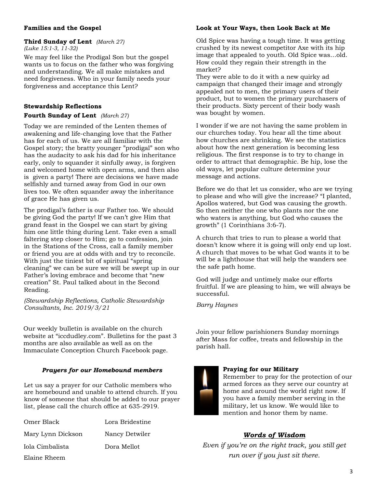#### **Families and the Gospel**

#### **Third Sunday of Lent** *(March 27) (Luke 15:1-3, 11-32)*

We may feel like the Prodigal Son but the gospel wants us to focus on the father who was forgiving and understanding. We all make mistakes and need forgiveness. Who in your family needs your forgiveness and acceptance this Lent?

#### **Stewardship Reflections**

#### **Fourth Sunday of Lent** *(March 27)*

Today we are reminded of the Lenten themes of awakening and life-changing love that the Father has for each of us. We are all familiar with the Gospel story; the bratty younger "prodigal" son who has the audacity to ask his dad for his inheritance early, only to squander it sinfully away, is forgiven and welcomed home with open arms, and then also is given a party! There are decisions we have made selfishly and turned away from God in our own lives too. We often squander away the inheritance of grace He has given us.

The prodigal's father is our Father too. We should be giving God the party! If we can't give Him that grand feast in the Gospel we can start by giving him one little thing during Lent. Take even a small faltering step closer to Him; go to confession, join in the Stations of the Cross, call a family member or friend you are at odds with and try to reconcile. With just the tiniest bit of spiritual "spring cleaning" we can be sure we will be swept up in our Father's loving embrace and become that "new creation" St. Paul talked about in the Second Reading.

*(Stewardship Reflections, Catholic Stewardship Consultants, Inc. 2019/3/21* 

Our weekly bulletin is available on the church website at "iccdudley.com". Bulletins for the past 3 months are also available as well as on the Immaculate Conception Church Facebook page.

#### *Prayers for our Homebound members*

Let us say a prayer for our Catholic members who are homebound and unable to attend church. If you know of someone that should be added to our prayer list, please call the church office at 635-2919.

| Omer Black        | Lora Bridestine |
|-------------------|-----------------|
| Mary Lynn Dickson | Nancy Detwiler  |
| Iola Cimbalista   | Dora Mellot     |
| Elaine Rheem      |                 |

#### **Look at Your Ways, then Look Back at Me**

Old Spice was having a tough time. It was getting crushed by its newest competitor Axe with its hip image that appealed to youth. Old Spice was…old. How could they regain their strength in the market?

They were able to do it with a new quirky ad campaign that changed their image and strongly appealed not to men, the primary users of their product, but to women the primary purchasers of their products. Sixty percent of their body wash was bought by women.

I wonder if we are not having the same problem in our churches today. You hear all the time about how churches are shrinking. We see the statistics about how the next generation is becoming less religious. The first response is to try to change in order to attract that demographic. Be hip, lose the old ways, let popular culture determine your message and actions.

Before we do that let us consider, who are we trying to please and who will give the increase? "I planted, Apollos watered, but God was causing the growth. So then neither the one who plants nor the one who waters is anything, but God who causes the growth" (1 Corinthians 3:6-7).

A church that tries to run to please a world that doesn't know where it is going will only end up lost. A church that moves to be what God wants it to be will be a lighthouse that will help the wanders see the safe path home.

God will judge and untimely make our efforts fruitful. If we are pleasing to him, we will always be successful.

*Barry Haynes*

Join your fellow parishioners Sunday mornings after Mass for coffee, treats and fellowship in the parish hall.



#### **Praying for our Military**

Remember to pray for the protection of our armed forces as they serve our country at home and around the world right now. If you have a family member serving in the military, let us know. We would like to mention and honor them by name.

#### *Words of Wisdom*

*Even if you're on the right track, you still get run over if you just sit there.*